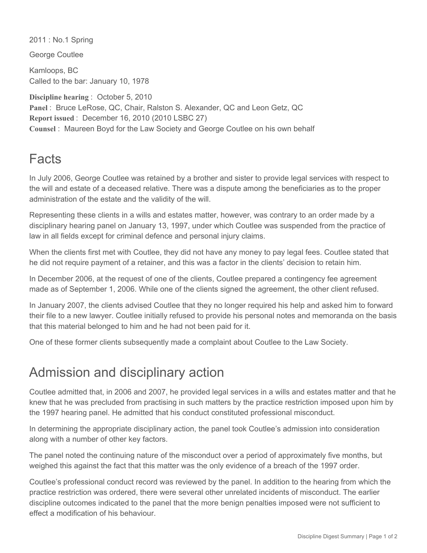2011 : No.1 Spring

George Coutlee

Kamloops, BC Called to the bar: January 10, 1978

**Discipline hearing** : October 5, 2010 **Panel** : Bruce LeRose, QC, Chair, Ralston S. Alexander, QC and Leon Getz, QC **Report issued** : December 16, 2010 (2010 LSBC 27) **Counsel** : Maureen Boyd for the Law Society and George Coutlee on his own behalf

## Facts

In July 2006, George Coutlee was retained by a brother and sister to provide legal services with respect to the will and estate of a deceased relative. There was a dispute among the beneficiaries as to the proper administration of the estate and the validity of the will.

Representing these clients in a wills and estates matter, however, was contrary to an order made by a disciplinary hearing panel on January 13, 1997, under which Coutlee was suspended from the practice of law in all fields except for criminal defence and personal injury claims.

When the clients first met with Coutlee, they did not have any money to pay legal fees. Coutlee stated that he did not require payment of a retainer, and this was a factor in the clients' decision to retain him.

In December 2006, at the request of one of the clients, Coutlee prepared a contingency fee agreement made as of September 1, 2006. While one of the clients signed the agreement, the other client refused.

In January 2007, the clients advised Coutlee that they no longer required his help and asked him to forward their file to a new lawyer. Coutlee initially refused to provide his personal notes and memoranda on the basis that this material belonged to him and he had not been paid for it.

One of these former clients subsequently made a complaint about Coutlee to the Law Society.

## Admission and disciplinary action

Coutlee admitted that, in 2006 and 2007, he provided legal services in a wills and estates matter and that he knew that he was precluded from practising in such matters by the practice restriction imposed upon him by the 1997 hearing panel. He admitted that his conduct constituted professional misconduct.

In determining the appropriate disciplinary action, the panel took Coutlee's admission into consideration along with a number of other key factors.

The panel noted the continuing nature of the misconduct over a period of approximately five months, but weighed this against the fact that this matter was the only evidence of a breach of the 1997 order.

Coutlee's professional conduct record was reviewed by the panel. In addition to the hearing from which the practice restriction was ordered, there were several other unrelated incidents of misconduct. The earlier discipline outcomes indicated to the panel that the more benign penalties imposed were not sufficient to effect a modification of his behaviour.